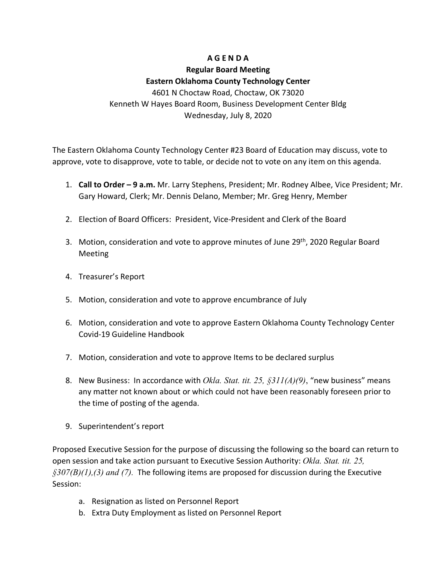# **A G E N D A**

### **Regular Board Meeting**

## **Eastern Oklahoma County Technology Center**

4601 N Choctaw Road, Choctaw, OK 73020 Kenneth W Hayes Board Room, Business Development Center Bldg Wednesday, July 8, 2020

The Eastern Oklahoma County Technology Center #23 Board of Education may discuss, vote to approve, vote to disapprove, vote to table, or decide not to vote on any item on this agenda.

- 1. **Call to Order – 9 a.m.** Mr. Larry Stephens, President; Mr. Rodney Albee, Vice President; Mr. Gary Howard, Clerk; Mr. Dennis Delano, Member; Mr. Greg Henry, Member
- 2. Election of Board Officers: President, Vice-President and Clerk of the Board
- 3. Motion, consideration and vote to approve minutes of June 29<sup>th</sup>, 2020 Regular Board Meeting
- 4. Treasurer's Report
- 5. Motion, consideration and vote to approve encumbrance of July
- 6. Motion, consideration and vote to approve Eastern Oklahoma County Technology Center Covid-19 Guideline Handbook
- 7. Motion, consideration and vote to approve Items to be declared surplus
- 8. New Business: In accordance with *Okla. Stat. tit. 25, §311(A)(9)*, "new business" means any matter not known about or which could not have been reasonably foreseen prior to the time of posting of the agenda.
- 9. Superintendent's report

Proposed Executive Session for the purpose of discussing the following so the board can return to open session and take action pursuant to Executive Session Authority: *Okla. Stat. tit. 25, §307(B)(1),(3) and (7).* The following items are proposed for discussion during the Executive Session:

- a. Resignation as listed on Personnel Report
- b. Extra Duty Employment as listed on Personnel Report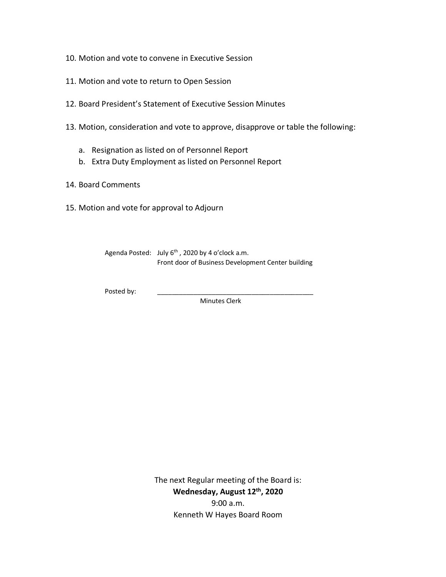- 10. Motion and vote to convene in Executive Session
- 11. Motion and vote to return to Open Session
- 12. Board President's Statement of Executive Session Minutes
- 13. Motion, consideration and vote to approve, disapprove or table the following:
	- a. Resignation as listed on of Personnel Report
	- b. Extra Duty Employment as listed on Personnel Report
- 14. Board Comments
- 15. Motion and vote for approval to Adjourn

Agenda Posted: July 6<sup>th</sup>, 2020 by 4 o'clock a.m. Front door of Business Development Center building

Posted by:

Minutes Clerk

The next Regular meeting of the Board is: **Wednesday, August 12th, 2020** 9:00 a.m. Kenneth W Hayes Board Room